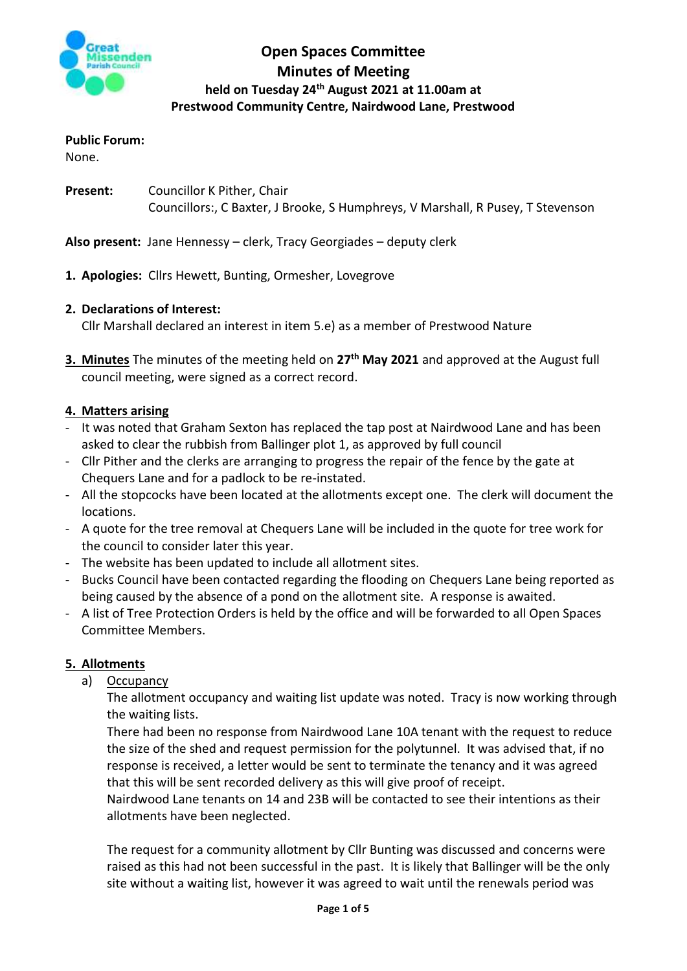

# **Open Spaces Committee Minutes of Meeting held on Tuesday 24th August 2021 at 11.00am at Prestwood Community Centre, Nairdwood Lane, Prestwood**

## **Public Forum:**

None.

**Present:** Councillor K Pither, Chair Councillors:, C Baxter, J Brooke, S Humphreys, V Marshall, R Pusey, T Stevenson

**Also present:** Jane Hennessy – clerk, Tracy Georgiades – deputy clerk

- **1. Apologies:** Cllrs Hewett, Bunting, Ormesher, Lovegrove
- **2. Declarations of Interest:**

Cllr Marshall declared an interest in item 5.e) as a member of Prestwood Nature

**3. Minutes** The minutes of the meeting held on **27th May 2021** and approved at the August full council meeting, were signed as a correct record.

## **4. Matters arising**

- It was noted that Graham Sexton has replaced the tap post at Nairdwood Lane and has been asked to clear the rubbish from Ballinger plot 1, as approved by full council
- Cllr Pither and the clerks are arranging to progress the repair of the fence by the gate at Chequers Lane and for a padlock to be re-instated.
- All the stopcocks have been located at the allotments except one. The clerk will document the locations.
- A quote for the tree removal at Chequers Lane will be included in the quote for tree work for the council to consider later this year.
- The website has been updated to include all allotment sites.
- Bucks Council have been contacted regarding the flooding on Chequers Lane being reported as being caused by the absence of a pond on the allotment site. A response is awaited.
- A list of Tree Protection Orders is held by the office and will be forwarded to all Open Spaces Committee Members.

## **5. Allotments**

a) Occupancy

The allotment occupancy and waiting list update was noted. Tracy is now working through the waiting lists.

There had been no response from Nairdwood Lane 10A tenant with the request to reduce the size of the shed and request permission for the polytunnel. It was advised that, if no response is received, a letter would be sent to terminate the tenancy and it was agreed that this will be sent recorded delivery as this will give proof of receipt.

Nairdwood Lane tenants on 14 and 23B will be contacted to see their intentions as their allotments have been neglected.

The request for a community allotment by Cllr Bunting was discussed and concerns were raised as this had not been successful in the past. It is likely that Ballinger will be the only site without a waiting list, however it was agreed to wait until the renewals period was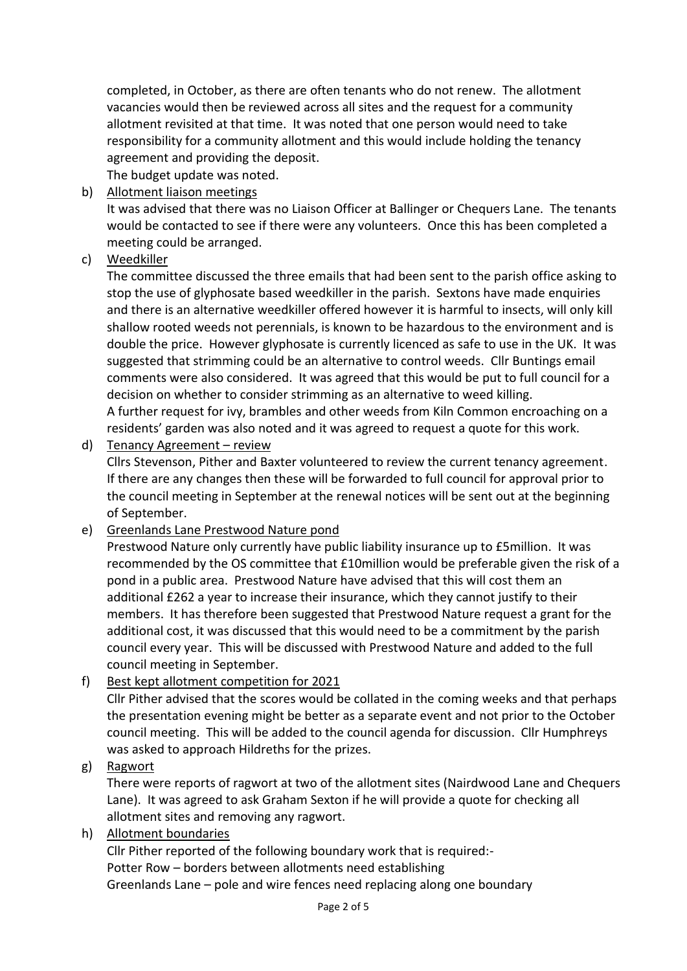completed, in October, as there are often tenants who do not renew. The allotment vacancies would then be reviewed across all sites and the request for a community allotment revisited at that time. It was noted that one person would need to take responsibility for a community allotment and this would include holding the tenancy agreement and providing the deposit. The budget update was noted.

b) Allotment liaison meetings

It was advised that there was no Liaison Officer at Ballinger or Chequers Lane. The tenants would be contacted to see if there were any volunteers. Once this has been completed a meeting could be arranged.

## c) Weedkiller

The committee discussed the three emails that had been sent to the parish office asking to stop the use of glyphosate based weedkiller in the parish. Sextons have made enquiries and there is an alternative weedkiller offered however it is harmful to insects, will only kill shallow rooted weeds not perennials, is known to be hazardous to the environment and is double the price. However glyphosate is currently licenced as safe to use in the UK. It was suggested that strimming could be an alternative to control weeds. Cllr Buntings email comments were also considered. It was agreed that this would be put to full council for a decision on whether to consider strimming as an alternative to weed killing.

A further request for ivy, brambles and other weeds from Kiln Common encroaching on a residents' garden was also noted and it was agreed to request a quote for this work.

d) Tenancy Agreement – review

Cllrs Stevenson, Pither and Baxter volunteered to review the current tenancy agreement. If there are any changes then these will be forwarded to full council for approval prior to the council meeting in September at the renewal notices will be sent out at the beginning of September.

e) Greenlands Lane Prestwood Nature pond

Prestwood Nature only currently have public liability insurance up to £5million. It was recommended by the OS committee that £10million would be preferable given the risk of a pond in a public area. Prestwood Nature have advised that this will cost them an additional £262 a year to increase their insurance, which they cannot justify to their members. It has therefore been suggested that Prestwood Nature request a grant for the additional cost, it was discussed that this would need to be a commitment by the parish council every year. This will be discussed with Prestwood Nature and added to the full council meeting in September.

## f) Best kept allotment competition for 2021

Cllr Pither advised that the scores would be collated in the coming weeks and that perhaps the presentation evening might be better as a separate event and not prior to the October council meeting. This will be added to the council agenda for discussion. Cllr Humphreys was asked to approach Hildreths for the prizes.

## g) Ragwort

There were reports of ragwort at two of the allotment sites (Nairdwood Lane and Chequers Lane). It was agreed to ask Graham Sexton if he will provide a quote for checking all allotment sites and removing any ragwort.

## h) Allotment boundaries

Cllr Pither reported of the following boundary work that is required:- Potter Row – borders between allotments need establishing Greenlands Lane – pole and wire fences need replacing along one boundary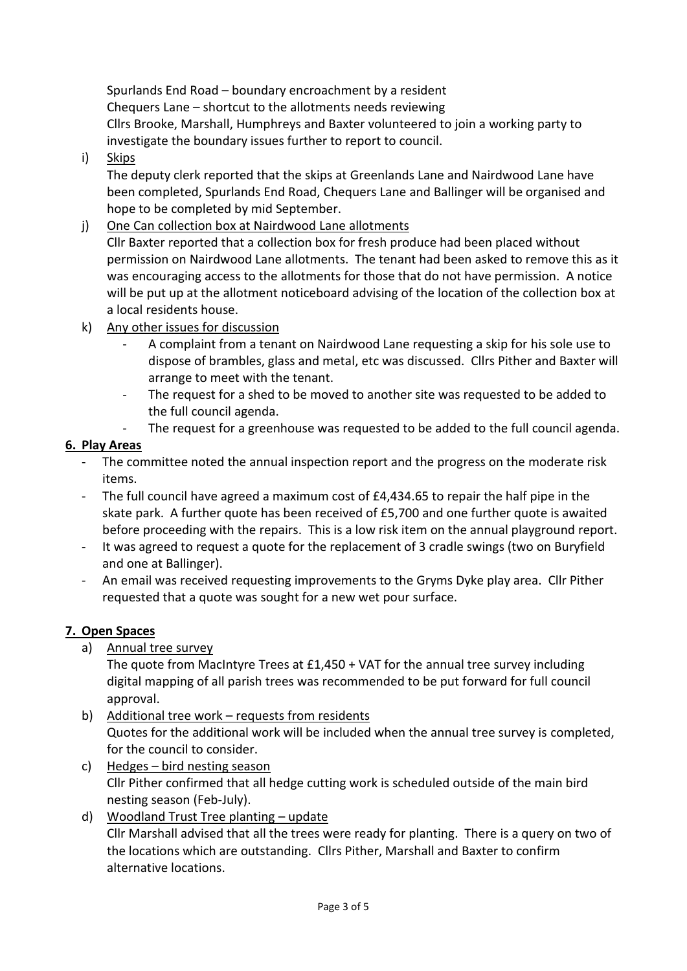Spurlands End Road – boundary encroachment by a resident Chequers Lane – shortcut to the allotments needs reviewing Cllrs Brooke, Marshall, Humphreys and Baxter volunteered to join a working party to investigate the boundary issues further to report to council.

i) Skips

The deputy clerk reported that the skips at Greenlands Lane and Nairdwood Lane have been completed, Spurlands End Road, Chequers Lane and Ballinger will be organised and hope to be completed by mid September.

## j) One Can collection box at Nairdwood Lane allotments

Cllr Baxter reported that a collection box for fresh produce had been placed without permission on Nairdwood Lane allotments. The tenant had been asked to remove this as it was encouraging access to the allotments for those that do not have permission. A notice will be put up at the allotment noticeboard advising of the location of the collection box at a local residents house.

- k) Any other issues for discussion
	- A complaint from a tenant on Nairdwood Lane requesting a skip for his sole use to dispose of brambles, glass and metal, etc was discussed. Cllrs Pither and Baxter will arrange to meet with the tenant.
	- The request for a shed to be moved to another site was requested to be added to the full council agenda.
	- The request for a greenhouse was requested to be added to the full council agenda.

## **6. Play Areas**

- The committee noted the annual inspection report and the progress on the moderate risk items.
- The full council have agreed a maximum cost of £4,434.65 to repair the half pipe in the skate park. A further quote has been received of £5,700 and one further quote is awaited before proceeding with the repairs. This is a low risk item on the annual playground report.
- It was agreed to request a quote for the replacement of 3 cradle swings (two on Buryfield and one at Ballinger).
- An email was received requesting improvements to the Gryms Dyke play area. Cllr Pither requested that a quote was sought for a new wet pour surface.

## **7. Open Spaces**

a) Annual tree survey

The quote from MacIntyre Trees at £1,450 + VAT for the annual tree survey including digital mapping of all parish trees was recommended to be put forward for full council approval.

- b) Additional tree work requests from residents Quotes for the additional work will be included when the annual tree survey is completed, for the council to consider.
- c) Hedges bird nesting season Cllr Pither confirmed that all hedge cutting work is scheduled outside of the main bird nesting season (Feb-July).
- d) Woodland Trust Tree planting update Cllr Marshall advised that all the trees were ready for planting. There is a query on two of the locations which are outstanding. Cllrs Pither, Marshall and Baxter to confirm alternative locations.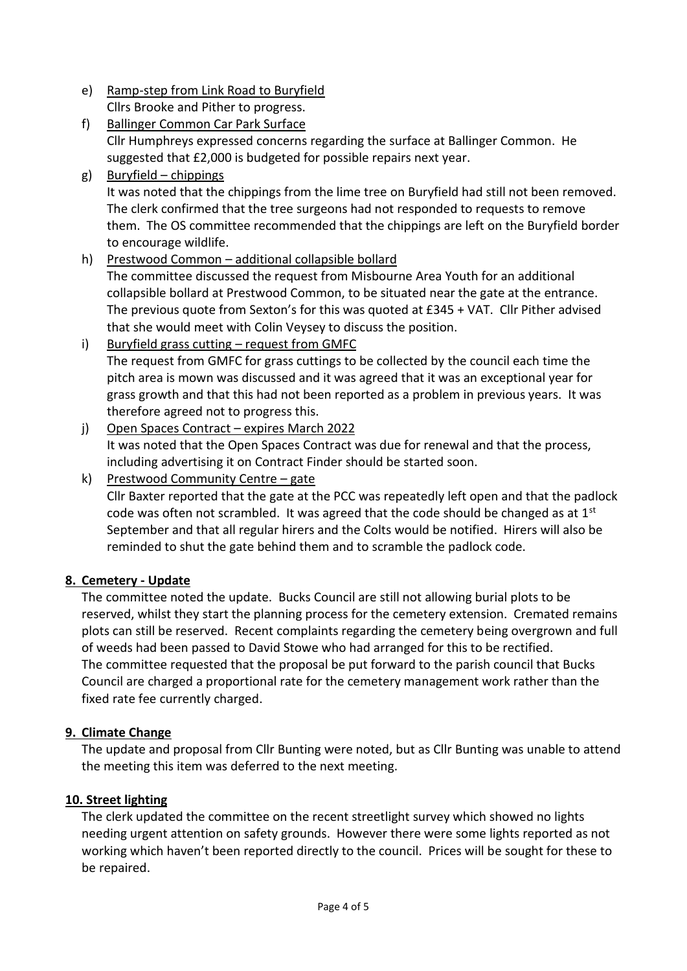- e) Ramp-step from Link Road to Buryfield Cllrs Brooke and Pither to progress.
- f) Ballinger Common Car Park Surface Cllr Humphreys expressed concerns regarding the surface at Ballinger Common. He suggested that £2,000 is budgeted for possible repairs next year.
- g) Buryfield chippings It was noted that the chippings from the lime tree on Buryfield had still not been removed. The clerk confirmed that the tree surgeons had not responded to requests to remove them. The OS committee recommended that the chippings are left on the Buryfield border to encourage wildlife.
- h) Prestwood Common additional collapsible bollard The committee discussed the request from Misbourne Area Youth for an additional collapsible bollard at Prestwood Common, to be situated near the gate at the entrance. The previous quote from Sexton's for this was quoted at £345 + VAT. Cllr Pither advised that she would meet with Colin Veysey to discuss the position. i) Buryfield grass cutting – request from GMFC
- The request from GMFC for grass cuttings to be collected by the council each time the pitch area is mown was discussed and it was agreed that it was an exceptional year for grass growth and that this had not been reported as a problem in previous years. It was therefore agreed not to progress this.
- j) Open Spaces Contract expires March 2022 It was noted that the Open Spaces Contract was due for renewal and that the process, including advertising it on Contract Finder should be started soon.

k) Prestwood Community Centre – gate Cllr Baxter reported that the gate at the PCC was repeatedly left open and that the padlock code was often not scrambled. It was agreed that the code should be changed as at 1<sup>st</sup> September and that all regular hirers and the Colts would be notified. Hirers will also be reminded to shut the gate behind them and to scramble the padlock code.

## **8. Cemetery - Update**

The committee noted the update. Bucks Council are still not allowing burial plots to be reserved, whilst they start the planning process for the cemetery extension. Cremated remains plots can still be reserved. Recent complaints regarding the cemetery being overgrown and full of weeds had been passed to David Stowe who had arranged for this to be rectified. The committee requested that the proposal be put forward to the parish council that Bucks Council are charged a proportional rate for the cemetery management work rather than the fixed rate fee currently charged.

## **9. Climate Change**

The update and proposal from Cllr Bunting were noted, but as Cllr Bunting was unable to attend the meeting this item was deferred to the next meeting.

## **10. Street lighting**

The clerk updated the committee on the recent streetlight survey which showed no lights needing urgent attention on safety grounds. However there were some lights reported as not working which haven't been reported directly to the council. Prices will be sought for these to be repaired.